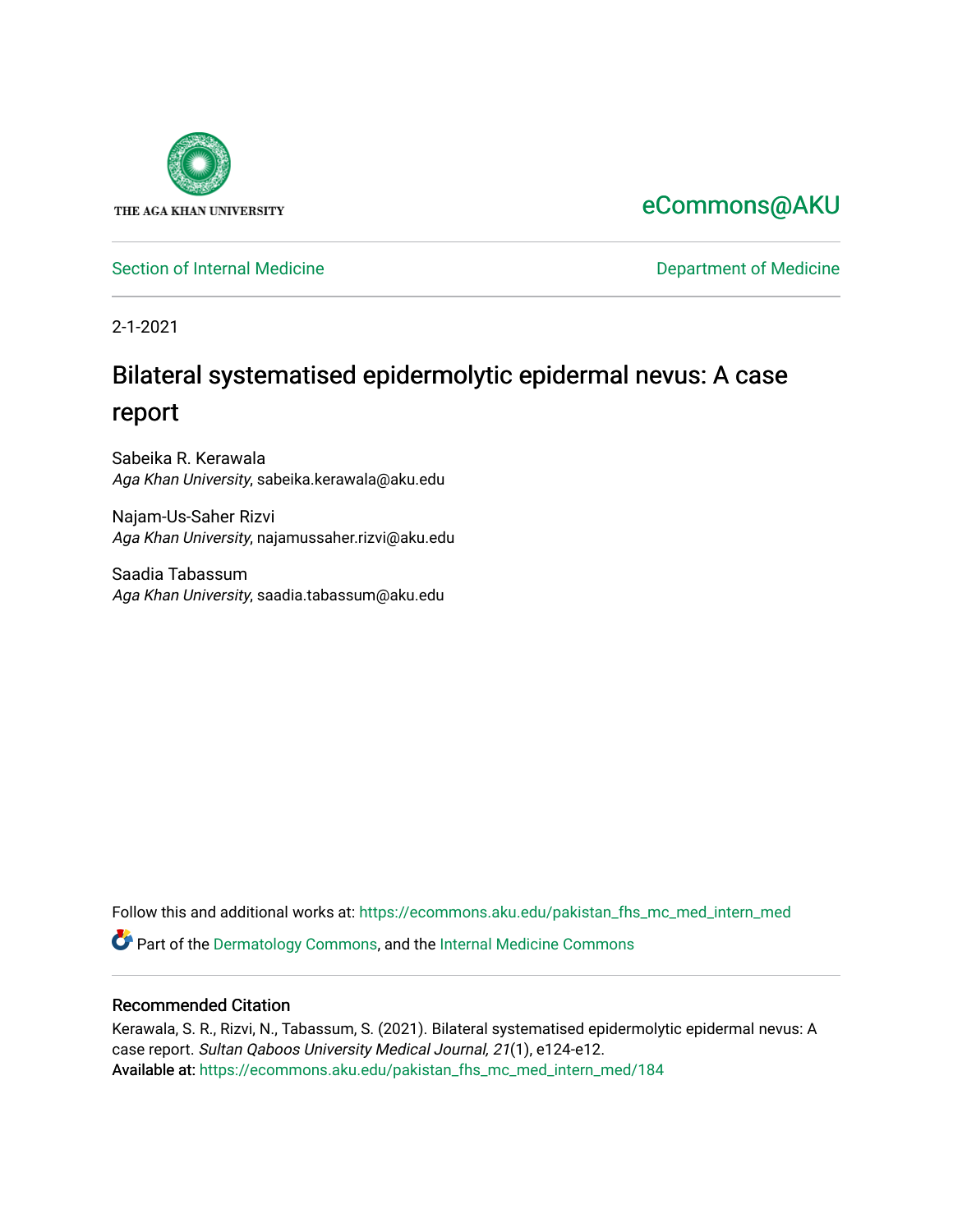

### [eCommons@AKU](https://ecommons.aku.edu/)

[Section of Internal Medicine](https://ecommons.aku.edu/pakistan_fhs_mc_med_intern_med) **Department of Medicine** Department of Medicine

2-1-2021

# Bilateral systematised epidermolytic epidermal nevus: A case report

Sabeika R. Kerawala Aga Khan University, sabeika.kerawala@aku.edu

Najam-Us-Saher Rizvi Aga Khan University, najamussaher.rizvi@aku.edu

Saadia Tabassum Aga Khan University, saadia.tabassum@aku.edu

Follow this and additional works at: [https://ecommons.aku.edu/pakistan\\_fhs\\_mc\\_med\\_intern\\_med](https://ecommons.aku.edu/pakistan_fhs_mc_med_intern_med?utm_source=ecommons.aku.edu%2Fpakistan_fhs_mc_med_intern_med%2F184&utm_medium=PDF&utm_campaign=PDFCoverPages) 

**C** Part of the [Dermatology Commons,](http://network.bepress.com/hgg/discipline/684?utm_source=ecommons.aku.edu%2Fpakistan_fhs_mc_med_intern_med%2F184&utm_medium=PDF&utm_campaign=PDFCoverPages) and the Internal Medicine Commons

#### Recommended Citation

Kerawala, S. R., Rizvi, N., Tabassum, S. (2021). Bilateral systematised epidermolytic epidermal nevus: A case report. Sultan Qaboos University Medical Journal, 21(1), e124-e12. Available at: [https://ecommons.aku.edu/pakistan\\_fhs\\_mc\\_med\\_intern\\_med/184](https://ecommons.aku.edu/pakistan_fhs_mc_med_intern_med/184)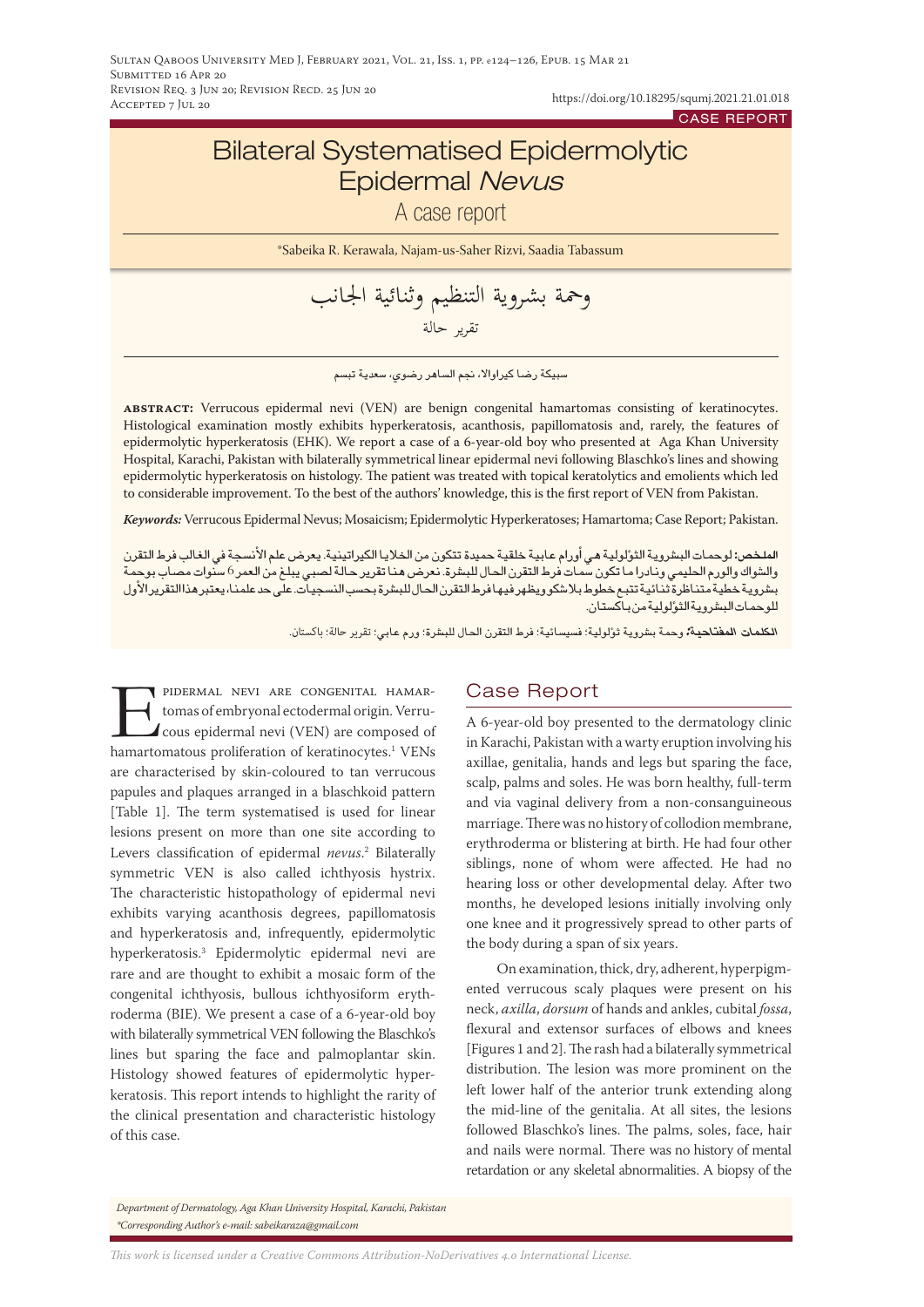#### case report

## Bilateral Systematised Epidermolytic Epidermal Nevus

A case report

\*Sabeika R. Kerawala, Najam-us-Saher Rizvi, Saadia Tabassum

ومحة بشروية التنظيم وثنائية اجلانب تقرير حالة

سبيكة رضا كيراوالا، نجم الساهر رضوي، سعدية تبسم

**abstract:** Verrucous epidermal nevi (VEN) are benign congenital hamartomas consisting of keratinocytes. Histological examination mostly exhibits hyperkeratosis, acanthosis, papillomatosis and, rarely, the features of epidermolytic hyperkeratosis (EHK). We report a case of a 6-year-old boy who presented at Aga Khan University Hospital, Karachi, Pakistan with bilaterally symmetrical linear epidermal nevi following Blaschko's lines and showing epidermolytic hyperkeratosis on histology. The patient was treated with topical keratolytics and emolients which led to considerable improvement. To the best of the authors' knowledge, this is the first report of VEN from Pakistan.

*Keywords:* Verrucous Epidermal Nevus; Mosaicism; Epidermolytic Hyperkeratoses; Hamartoma; Case Report; Pakistan.

الملخص: لوحمات البشروية الثو<sub>ّ</sub>لولية هي أورام عابية خلقية حميدة تتكون من الخلايا الكيراتينية. يعرض علم الأنسجة في الغالب فرط التقرن والشواك والورم الحليمي ونادرا ما تكون سمات فرط التقرن الحال للبشرة. نعرض هنا تقرير حالة لصبي يبلغ من العمر 6 سنوات مصاب بوحمة بشروية خطية متناظرة ثنائية تتبع خطوط بلاشكو ويظهر فيها فرط التقرن الحال للبشرة بحسب النسجيات. على حد علمنا، يعتبر هذا التقرير الأول للوحمات البشروية الثؤلولية من باكستان.

*الكلمات املفتاحية:* وحمة ب�رشوية ثؤلولية؛ ف�سي�سائية؛ فرط التقرن احلال للب�رشة؛ ورم عابي؛ تقرير حالة؛ باكستان.

PIDERMAL NEVI ARE CONGENITAL HAMAR-<br>tomas of embryonal ectodermal origin. Verru-<br>cous epidermal nevi (VEN) are composed of<br>hamartomatous proliferation of keratinocytes.<sup>1</sup> VENs tomas of embryonal ectodermal origin. Verrucous epidermal nevi (VEN) are composed of hamartomatous proliferation of keratinocytes.1 VENs are characterised by skin-coloured to tan verrucous papules and plaques arranged in a blaschkoid pattern [Table 1]. The term systematised is used for linear lesions present on more than one site according to Levers classification of epidermal *nevus*. 2 Bilaterally symmetric VEN is also called ichthyosis hystrix. The characteristic histopathology of epidermal nevi exhibits varying acanthosis degrees, papillomatosis and hyperkeratosis and, infrequently, epidermolytic hyperkeratosis.3 Epidermolytic epidermal nevi are rare and are thought to exhibit a mosaic form of the congenital ichthyosis, bullous ichthyosiform erythroderma (BIE). We present a case of a 6-year-old boy with bilaterally symmetrical VEN following the Blaschko's lines but sparing the face and palmoplantar skin. Histology showed features of epidermolytic hyperkeratosis. This report intends to highlight the rarity of the clinical presentation and characteristic histology of this case.

### Case Report

A 6-year-old boy presented to the dermatology clinic in Karachi, Pakistan with a warty eruption involving his axillae, genitalia, hands and legs but sparing the face, scalp, palms and soles. He was born healthy, full-term and via vaginal delivery from a non-consanguineous marriage. There was no history of collodion membrane, erythroderma or blistering at birth. He had four other siblings, none of whom were affected. He had no hearing loss or other developmental delay. After two months, he developed lesions initially involving only one knee and it progressively spread to other parts of the body during a span of six years.

On examination, thick, dry, adherent, hyperpigmented verrucous scaly plaques were present on his neck, *axilla*, *dorsum* of hands and ankles, cubital *fossa*, flexural and extensor surfaces of elbows and knees [Figures 1 and 2]. The rash had a bilaterally symmetrical distribution. The lesion was more prominent on the left lower half of the anterior trunk extending along the mid-line of the genitalia. At all sites, the lesions followed Blaschko's lines. The palms, soles, face, hair and nails were normal. There was no history of mental retardation or any skeletal abnormalities. A biopsy of the

*Department of Dermatology, Aga Khan University Hospital, Karachi, Pakistan \*Corresponding Author's e-mail: sabeikaraza@gmail.com*

*This work is licensed under a [Creative Commons Attribution-NoDerivatives 4.0 International License.](https://creativecommons.org/licenses/by-nd/4.0/)*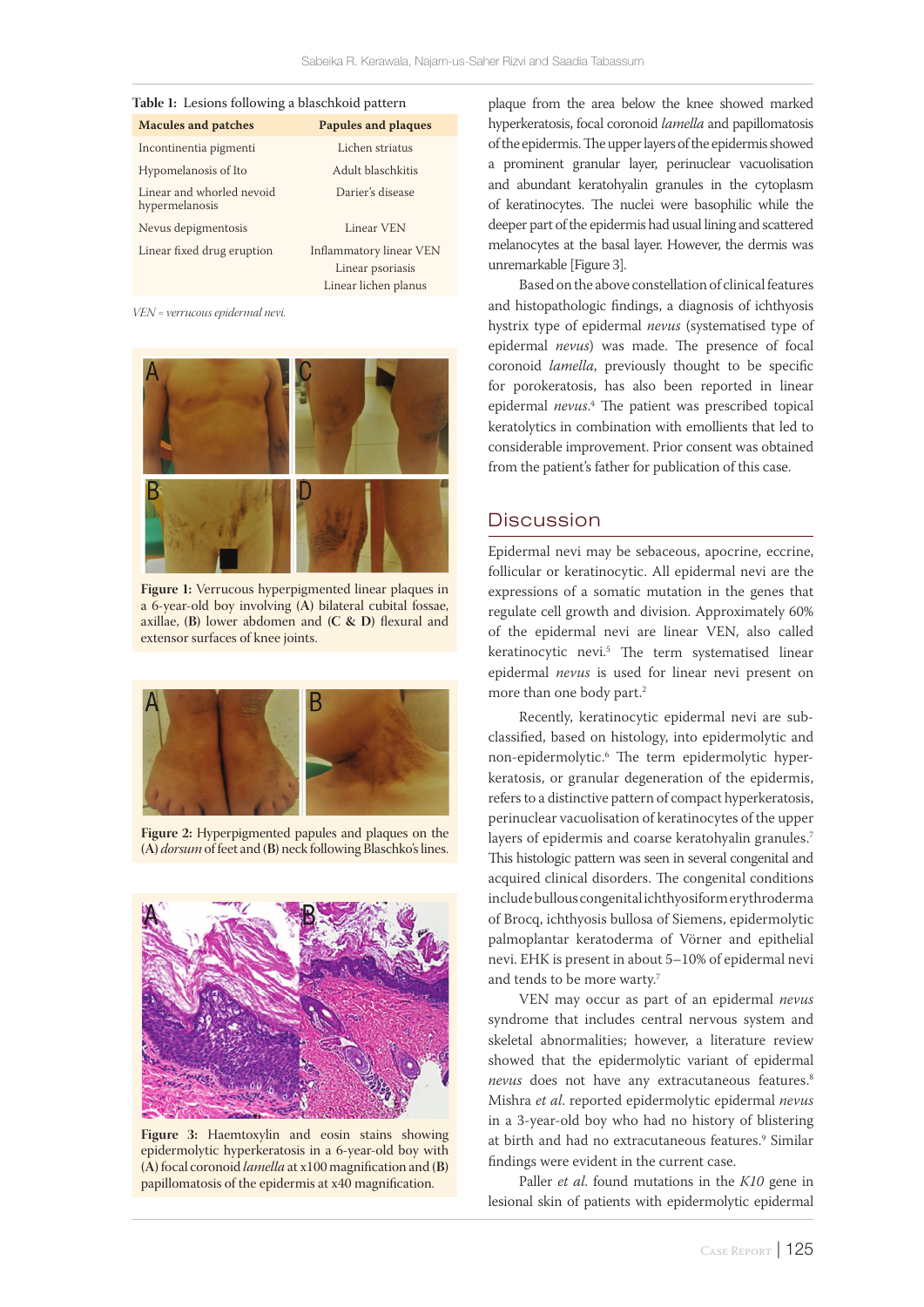| Table 1: Lesions following a blaschkoid pattern |                            |
|-------------------------------------------------|----------------------------|
| <b>Macules and patches</b>                      | <b>Papules and plaques</b> |
| Incontinentia pigmenti                          | Lichen striatus            |
| Hypomelanosis of Ito                            | Adult blaschkitis          |
| Linear and whorled nevoid<br>hypermelanosis     | Darier's disease           |
| Nevus depigmentosis                             | Linear VEN                 |
| Linear fixed drug eruption                      | Inflammatory linear VEN    |
|                                                 | Linear psoriasis           |
|                                                 | Linear lichen planus       |

*VEN = verrucous epidermal nevi.*



**Figure 1:** Verrucous hyperpigmented linear plaques in a 6-year-old boy involving **(A)** bilateral cubital fossae, axillae, **(B)** lower abdomen and **(C & D)** flexural and extensor surfaces of knee joints.



**Figure 2:** Hyperpigmented papules and plaques on the **(A)** *dorsum* of feet and **(B)** neck following Blaschko's lines.



**Figure 3:** Haemtoxylin and eosin stains showing epidermolytic hyperkeratosis in a 6-year-old boy with **(A)** focal coronoid *lamella* at x100 magnification and **(B)**  papillomatosis of the epidermis at x40 magnification.

plaque from the area below the knee showed marked hyperkeratosis, focal coronoid *lamella* and papillomatosis of the epidermis. The upper layers of the epidermis showed a prominent granular layer, perinuclear vacuolisation and abundant keratohyalin granules in the cytoplasm of keratinocytes. The nuclei were basophilic while the deeper part of the epidermis had usual lining and scattered melanocytes at the basal layer. However, the dermis was unremarkable [Figure 3].

Based on the above constellation of clinical features and histopathologic findings, a diagnosis of ichthyosis hystrix type of epidermal *nevus* (systematised type of epidermal *nevus*) was made. The presence of focal coronoid *lamella*, previously thought to be specific for porokeratosis, has also been reported in linear epidermal *nevus*. 4 The patient was prescribed topical keratolytics in combination with emollients that led to considerable improvement. Prior consent was obtained from the patient's father for publication of this case.

### **Discussion**

Epidermal nevi may be sebaceous, apocrine, eccrine, follicular or keratinocytic. All epidermal nevi are the expressions of a somatic mutation in the genes that regulate cell growth and division. Approximately 60% of the epidermal nevi are linear VEN, also called keratinocytic nevi.5 The term systematised linear epidermal *nevus* is used for linear nevi present on more than one body part.2

Recently, keratinocytic epidermal nevi are subclassified, based on histology, into epidermolytic and non-epidermolytic.6 The term epidermolytic hyperkeratosis, or granular degeneration of the epidermis, refers to a distinctive pattern of compact hyperkeratosis, perinuclear vacuolisation of keratinocytes of the upper layers of epidermis and coarse keratohyalin granules.<sup>7</sup> This histologic pattern was seen in several congenital and acquired clinical disorders. The congenital conditions include bullous congenital ichthyosiform erythroderma of Brocq, ichthyosis bullosa of Siemens, epidermolytic palmoplantar keratoderma of Vörner and epithelial nevi. EHK is present in about 5–10% of epidermal nevi and tends to be more warty.7

VEN may occur as part of an epidermal *nevus* syndrome that includes central nervous system and skeletal abnormalities; however, a literature review showed that the epidermolytic variant of epidermal nevus does not have any extracutaneous features.<sup>8</sup> Mishra *et al*. reported epidermolytic epidermal *nevus* in a 3-year-old boy who had no history of blistering at birth and had no extracutaneous features.<sup>9</sup> Similar findings were evident in the current case.

Paller *et al*. found mutations in the *K10* gene in lesional skin of patients with epidermolytic epidermal